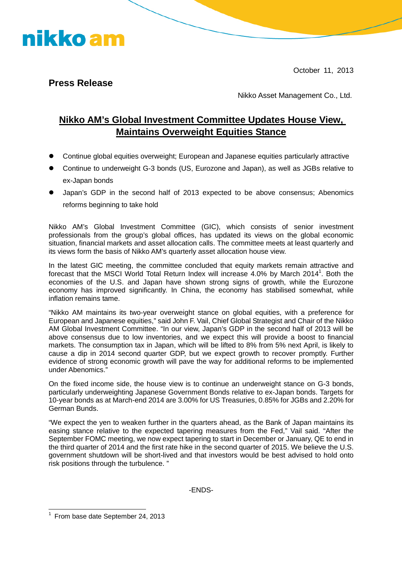October 11, 2013

#### **Press Release**

nikko am

Nikko Asset Management Co., Ltd.

#### **Nikko AM's Global Investment Committee Updates House View, Maintains Overweight Equities Stance**

- Continue global equities overweight; European and Japanese equities particularly attractive
- Continue to underweight G-3 bonds (US, Eurozone and Japan), as well as JGBs relative to ex-Japan bonds
- Japan's GDP in the second half of 2013 expected to be above consensus; Abenomics reforms beginning to take hold

Nikko AM's Global Investment Committee (GIC), which consists of senior investment professionals from the group's global offices, has updated its views on the global economic situation, financial markets and asset allocation calls. The committee meets at least quarterly and its views form the basis of Nikko AM's quarterly asset allocation house view.

In the latest GIC meeting, the committee concluded that equity markets remain attractive and forecastthat the MSCI World Total Return Index will increase 4.0% by March 2014<sup>1</sup>. Both the economies of the U.S. and Japan have shown strong signs of growth, while the Eurozone economy has improved significantly. In China, the economy has stabilised somewhat, while inflation remains tame.

"Nikko AM maintains its two-year overweight stance on global equities, with a preference for European and Japanese equities," said John F. Vail, Chief Global Strategist and Chair of the Nikko AM Global Investment Committee. "In our view, Japan's GDP in the second half of 2013 will be above consensus due to low inventories, and we expect this will provide a boost to financial markets. The consumption tax in Japan, which will be lifted to 8% from 5% next April, is likely to cause a dip in 2014 second quarter GDP, but we expect growth to recover promptly. Further evidence of strong economic growth will pave the way for additional reforms to be implemented under Abenomics."

On the fixed income side, the house view is to continue an underweight stance on G-3 bonds, particularly underweighting Japanese Government Bonds relative to ex-Japan bonds. Targets for 10-year bonds as at March-end 2014 are 3.00% for US Treasuries, 0.85% for JGBs and 2.20% for German Bunds.

"We expect the yen to weaken further in the quarters ahead, as the Bank of Japan maintains its easing stance relative to the expected tapering measures from the Fed," Vail said. "After the September FOMC meeting, we now expect tapering to start in December or January, QE to end in the third quarter of 2014 and the first rate hike in the second quarter of 2015. We believe the U.S. government shutdown will be short-lived and that investors would be best advised to hold onto risk positions through the turbulence. "

-ENDS-

<span id="page-0-0"></span><sup>1</sup> From base date September 24, 2013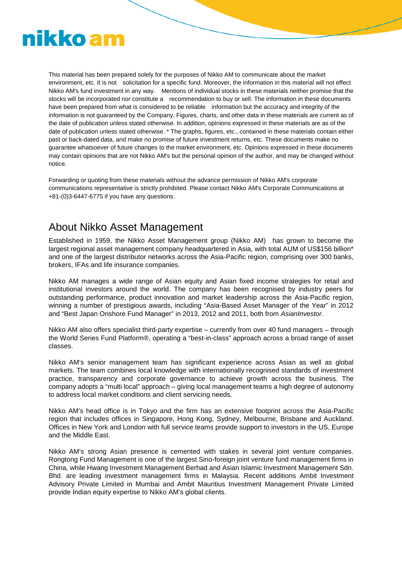# nikko am

This material has been prepared solely for the purposes of Nikko AM to communicate about the market environment, etc. It is not solicitation for a specific fund. Moreover, the information in this material will not effect Nikko AM's fund investment in any way. Mentions of individual stocks in these materials neither promise that the stocks will be incorporated nor constitute a recommendation to buy or sell. The information in these documents have been prepared from what is considered to be reliable information but the accuracy and integrity of the information is not guaranteed by the Company. Figures, charts, and other data in these materials are current as of the date of publication unless stated otherwise. In addition, opinions expressed in these materials are as of the date of publication unless stated otherwise. \* The graphs, figures, etc., contained in these materials contain either past or back-dated data, and make no promise of future investment returns, etc. These documents make no guarantee whatsoever of future changes to the market environment, etc. Opinions expressed in these documents may contain opinions that are not Nikko AM's but the personal opinion of the author, and may be changed without notice.

Forwarding or quoting from these materials without the advance permission of Nikko AM's corporate communications representative is strictly prohibited. Please contact Nikko AM's Corporate Communications at +81-(0)3-6447-6775 if you have any questions.

### About Nikko Asset Management

Established in 1959, the Nikko Asset Management group (Nikko AM) has grown to become the largest regional asset management company headquartered in Asia, with total AUM of US\$156 billion\* and one of the largest distributor networks across the Asia-Pacific region, comprising over 300 banks, brokers, IFAs and life insurance companies.

Nikko AM manages a wide range of Asian equity and Asian fixed income strategies for retail and institutional investors around the world. The company has been recognised by industry peers for outstanding performance, product innovation and market leadership across the Asia-Pacific region, winning a number of prestigious awards, including "Asia-Based Asset Manager of the Year" in 2012 and "Best Japan Onshore Fund Manager" in 2013, 2012 and 2011, both from *AsianInvestor.*

Nikko AM also offers specialist third-party expertise – currently from over 40 fund managers – through the World Series Fund Platform®, operating a "best-in-class" approach across a broad range of asset classes.

Nikko AM's senior management team has significant experience across Asian as well as global markets. The team combines local knowledge with internationally recognised standards of investment practice, transparency and corporate governance to achieve growth across the business. The company adopts a "multi local" approach – giving local management teams a high degree of autonomy to address local market conditions and client servicing needs.

Nikko AM's head office is in Tokyo and the firm has an extensive footprint across the Asia-Pacific region that includes offices in Singapore, Hong Kong, Sydney, Melbourne, Brisbane and Auckland. Offices in New York and London with full service teams provide support to investors in the US, Europe and the Middle East.

Nikko AM's strong Asian presence is cemented with stakes in several joint venture companies. Rongtong Fund Management is one of the largest Sino-foreign joint venture fund management firms in China, while Hwang Investment Management Berhad and Asian Islamic Investment Management Sdn. Bhd. are leading investment management firms in Malaysia. Recent additions Ambit Investment Advisory Private Limited in Mumbai and Ambit Mauritius Investment Management Private Limited provide Indian equity expertise to Nikko AM's global clients.